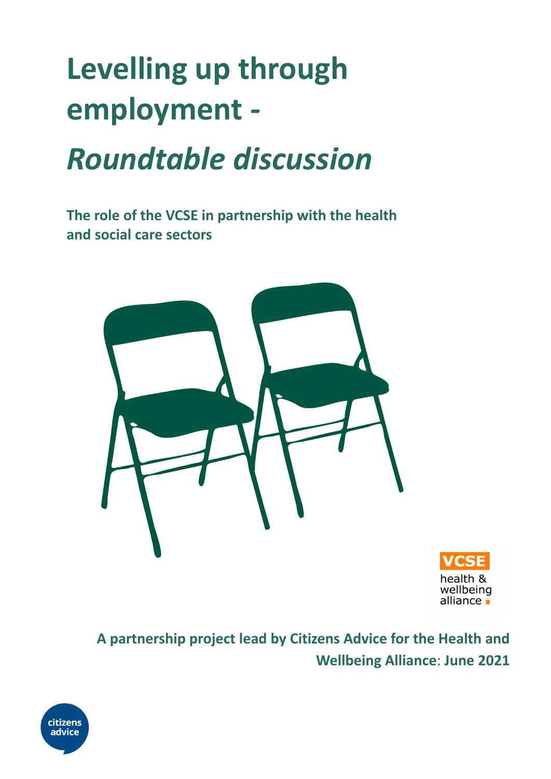# **Levelling up through employment** *-*

# *Roundtable discussion*

**The role of the VCSE in partnership with the health and social care sectors**





# **A partnership project lead by Citizens Advice for the Health and Wellbeing Alliance**: **June 2021**

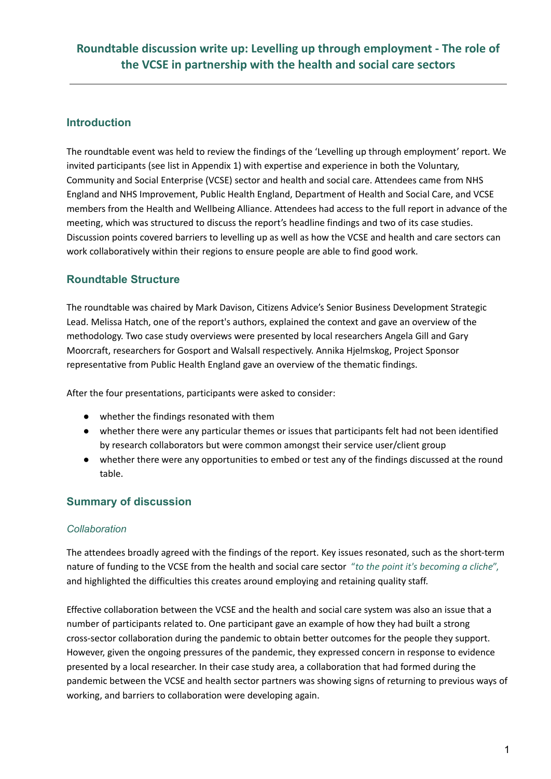#### **Introduction**

The roundtable event was held to review the findings of the 'Levelling up through employment' report. We invited participants (see list in Appendix 1) with expertise and experience in both the Voluntary, Community and Social Enterprise (VCSE) sector and health and social care. Attendees came from NHS England and NHS Improvement, Public Health England, Department of Health and Social Care, and VCSE members from the Health and Wellbeing Alliance. Attendees had access to the full report in advance of the meeting, which was structured to discuss the report's headline findings and two of its case studies. Discussion points covered barriers to levelling up as well as how the VCSE and health and care sectors can work collaboratively within their regions to ensure people are able to find good work.

# **Roundtable Structure**

The roundtable was chaired by Mark Davison, Citizens Advice's Senior Business Development Strategic Lead. Melissa Hatch, one of the report's authors, explained the context and gave an overview of the methodology. Two case study overviews were presented by local researchers Angela Gill and Gary Moorcraft, researchers for Gosport and Walsall respectively. Annika Hjelmskog, Project Sponsor representative from Public Health England gave an overview of the thematic findings.

After the four presentations, participants were asked to consider:

- whether the findings resonated with them
- whether there were any particular themes or issues that participants felt had not been identified by research collaborators but were common amongst their service user/client group
- whether there were any opportunities to embed or test any of the findings discussed at the round table.

# **Summary of discussion**

#### *Collaboration*

The attendees broadly agreed with the findings of the report. Key issues resonated, such as the short-term nature of funding to the VCSE from the health and social care sector "*to the point it's becoming a cliche*", and highlighted the difficulties this creates around employing and retaining quality staff.

Effective collaboration between the VCSE and the health and social care system was also an issue that a number of participants related to. One participant gave an example of how they had built a strong cross-sector collaboration during the pandemic to obtain better outcomes for the people they support. However, given the ongoing pressures of the pandemic, they expressed concern in response to evidence presented by a local researcher. In their case study area, a collaboration that had formed during the pandemic between the VCSE and health sector partners was showing signs of returning to previous ways of working, and barriers to collaboration were developing again.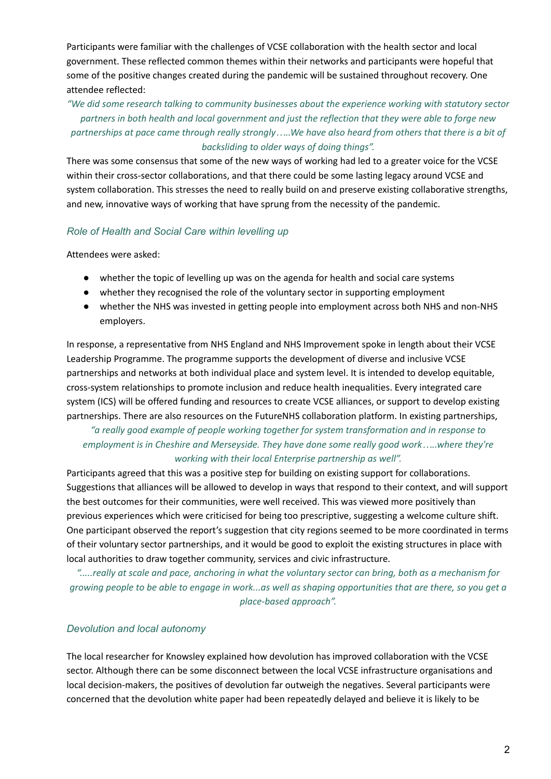Participants were familiar with the challenges of VCSE collaboration with the health sector and local government. These reflected common themes within their networks and participants were hopeful that some of the positive changes created during the pandemic will be sustained throughout recovery. One attendee reflected:

#### *"We did some research talking to community businesses about the experience working with statutory sector* partners in both health and local government and just the reflection that they were able to forge new partnerships at pace came through really strongly.....We have also heard from others that there is a bit of *backsliding to older ways of doing things".*

There was some consensus that some of the new ways of working had led to a greater voice for the VCSE within their cross-sector collaborations, and that there could be some lasting legacy around VCSE and system collaboration. This stresses the need to really build on and preserve existing collaborative strengths, and new, innovative ways of working that have sprung from the necessity of the pandemic.

#### *Role of Health and Social Care within levelling up*

Attendees were asked:

- whether the topic of levelling up was on the agenda for health and social care systems
- whether they recognised the role of the voluntary sector in supporting employment
- whether the NHS was invested in getting people into employment across both NHS and non-NHS employers.

In response, a representative from NHS England and NHS Improvement spoke in length about their VCSE Leadership Programme. The programme supports the development of diverse and inclusive VCSE partnerships and networks at both individual place and system level. It is intended to develop equitable, cross-system relationships to promote inclusion and reduce health inequalities. Every integrated care system (ICS) will be offered funding and resources to create VCSE alliances, or support to develop existing partnerships. There are also resources on the FutureNHS collaboration platform. In existing partnerships,

#### *"a really good example of people working together for system transformation and in response to employment is in Cheshire and Merseyside. They have done some really good work…..where they're working with their local Enterprise partnership as well".*

Participants agreed that this was a positive step for building on existing support for collaborations. Suggestions that alliances will be allowed to develop in ways that respond to their context, and will support the best outcomes for their communities, were well received. This was viewed more positively than previous experiences which were criticised for being too prescriptive, suggesting a welcome culture shift. One participant observed the report's suggestion that city regions seemed to be more coordinated in terms of their voluntary sector partnerships, and it would be good to exploit the existing structures in place with local authorities to draw together community, services and civic infrastructure.

ection and price of the vietor and pace, anchoring in what the voluntary sector can bring, both as a mechanism for growing people to be able to engage in work...as well as shaping opportunities that are there, so you get a *place-based approach".*

#### *Devolution and local autonomy*

The local researcher for Knowsley explained how devolution has improved collaboration with the VCSE sector. Although there can be some disconnect between the local VCSE infrastructure organisations and local decision-makers, the positives of devolution far outweigh the negatives. Several participants were concerned that the devolution white paper had been repeatedly delayed and believe it is likely to be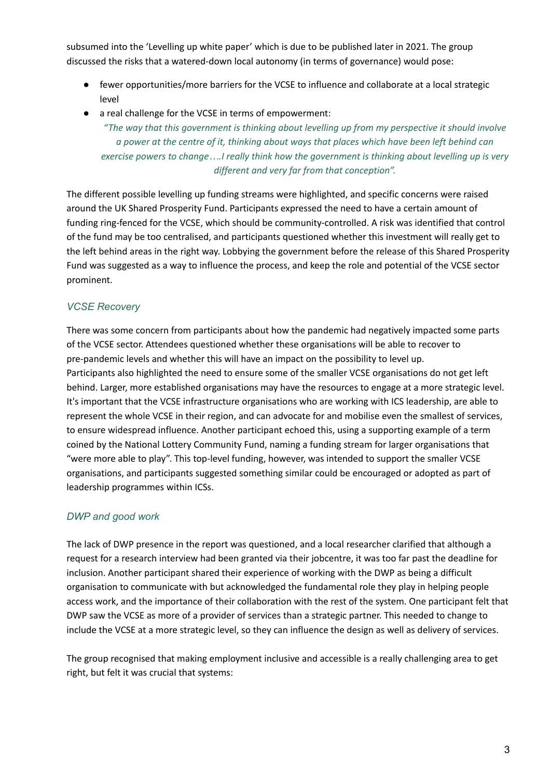subsumed into the 'Levelling up white paper' which is due to be published later in 2021. The group discussed the risks that a watered-down local autonomy (in terms of governance) would pose:

- fewer opportunities/more barriers for the VCSE to influence and collaborate at a local strategic level
- a real challenge for the VCSE in terms of empowerment:

*"The way that this government is thinking about levelling up from my perspective it should involve a power at the centre of it, thinking about ways that places which have been left behind can* exercise powers to change....I really think how the government is thinking about levelling up is very *different and very far from that conception".*

The different possible levelling up funding streams were highlighted, and specific concerns were raised around the UK Shared Prosperity Fund. Participants expressed the need to have a certain amount of funding ring-fenced for the VCSE, which should be community-controlled. A risk was identified that control of the fund may be too centralised, and participants questioned whether this investment will really get to the left behind areas in the right way. Lobbying the government before the release of this Shared Prosperity Fund was suggested as a way to influence the process, and keep the role and potential of the VCSE sector prominent.

#### *VCSE Recovery*

There was some concern from participants about how the pandemic had negatively impacted some parts of the VCSE sector. Attendees questioned whether these organisations will be able to recover to pre-pandemic levels and whether this will have an impact on the possibility to level up. Participants also highlighted the need to ensure some of the smaller VCSE organisations do not get left behind. Larger, more established organisations may have the resources to engage at a more strategic level. It's important that the VCSE infrastructure organisations who are working with ICS leadership, are able to represent the whole VCSE in their region, and can advocate for and mobilise even the smallest of services, to ensure widespread influence. Another participant echoed this, using a supporting example of a term coined by the National Lottery Community Fund, naming a funding stream for larger organisations that "were more able to play". This top-level funding, however, was intended to support the smaller VCSE organisations, and participants suggested something similar could be encouraged or adopted as part of leadership programmes within ICSs.

# *DWP and good work*

The lack of DWP presence in the report was questioned, and a local researcher clarified that although a request for a research interview had been granted via their jobcentre, it was too far past the deadline for inclusion. Another participant shared their experience of working with the DWP as being a difficult organisation to communicate with but acknowledged the fundamental role they play in helping people access work, and the importance of their collaboration with the rest of the system. One participant felt that DWP saw the VCSE as more of a provider of services than a strategic partner. This needed to change to include the VCSE at a more strategic level, so they can influence the design as well as delivery of services.

The group recognised that making employment inclusive and accessible is a really challenging area to get right, but felt it was crucial that systems: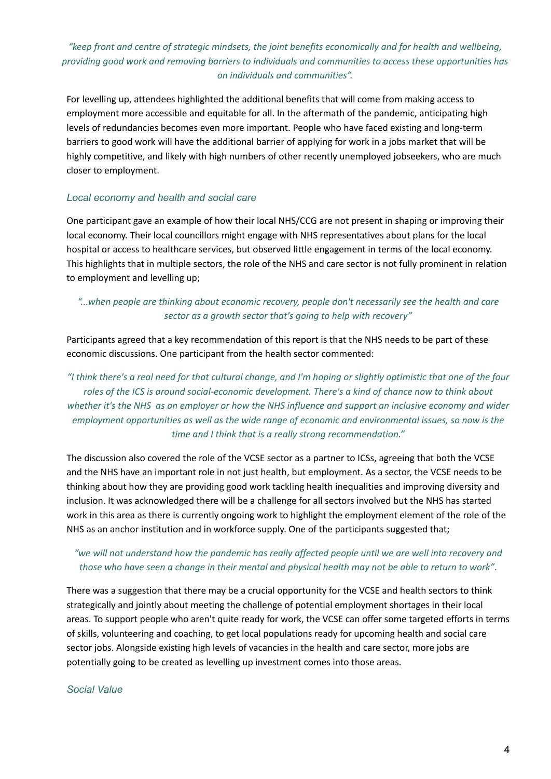# *"keep front and centre of strategic mindsets, the joint benefits economically and for health and wellbeing, providing good work and removing barriers to individuals and communities to access these opportunities has on individuals and communities".*

For levelling up, attendees highlighted the additional benefits that will come from making access to employment more accessible and equitable for all. In the aftermath of the pandemic, anticipating high levels of redundancies becomes even more important. People who have faced existing and long-term barriers to good work will have the additional barrier of applying for work in a jobs market that will be highly competitive, and likely with high numbers of other recently unemployed jobseekers, who are much closer to employment.

#### *Local economy and health and social care*

One participant gave an example of how their local NHS/CCG are not present in shaping or improving their local economy. Their local councillors might engage with NHS representatives about plans for the local hospital or access to healthcare services, but observed little engagement in terms of the local economy. This highlights that in multiple sectors, the role of the NHS and care sector is not fully prominent in relation to employment and levelling up;

#### *"...when people are thinking about economic recovery, people don't necessarily see the health and care sector as a growth sector that's going to help with recovery"*

Participants agreed that a key recommendation of this report is that the NHS needs to be part of these economic discussions. One participant from the health sector commented:

"I think there's a real need for that cultural change, and I'm hoping or slightly optimistic that one of the four *roles of the ICS is around social-economic development. There's a kind of chance now to think about* whether it's the NHS as an employer or how the NHS influence and support an inclusive economy and wider *employment opportunities as well as the wide range of economic and environmental issues, so now is the time and I think that is a really strong recommendation."*

The discussion also covered the role of the VCSE sector as a partner to ICSs, agreeing that both the VCSE and the NHS have an important role in not just health, but employment. As a sector, the VCSE needs to be thinking about how they are providing good work tackling health inequalities and improving diversity and inclusion. It was acknowledged there will be a challenge for all sectors involved but the NHS has started work in this area as there is currently ongoing work to highlight the employment element of the role of the NHS as an anchor institution and in workforce supply. One of the participants suggested that;

#### "we will not understand how the pandemic has really affected people until we are well into recovery and those who have seen a change in their mental and physical health may not be able to return to work".

There was a suggestion that there may be a crucial opportunity for the VCSE and health sectors to think strategically and jointly about meeting the challenge of potential employment shortages in their local areas. To support people who aren't quite ready for work, the VCSE can offer some targeted efforts in terms of skills, volunteering and coaching, to get local populations ready for upcoming health and social care sector jobs. Alongside existing high levels of vacancies in the health and care sector, more jobs are potentially going to be created as levelling up investment comes into those areas.

#### *Social Value*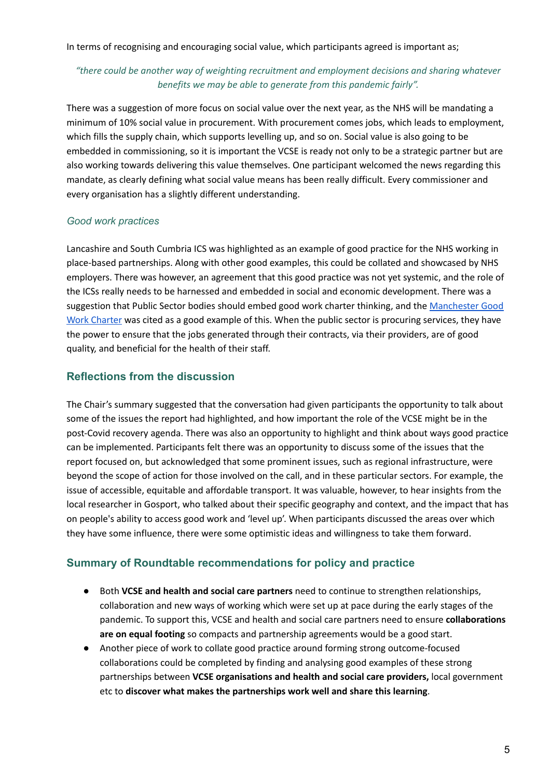In terms of recognising and encouraging social value, which participants agreed is important as;

#### *"there could be another way of weighting recruitment and employment decisions and sharing whatever benefits we may be able to generate from this pandemic fairly".*

There was a suggestion of more focus on social value over the next year, as the NHS will be mandating a minimum of 10% social value in procurement. With procurement comes jobs, which leads to employment, which fills the supply chain, which supports levelling up, and so on. Social value is also going to be embedded in commissioning, so it is important the VCSE is ready not only to be a strategic partner but are also working towards delivering this value themselves. One participant welcomed the news regarding this mandate, as clearly defining what social value means has been really difficult. Every commissioner and every organisation has a slightly different understanding.

#### *Good work practices*

Lancashire and South Cumbria ICS was highlighted as an example of good practice for the NHS working in place-based partnerships. Along with other good examples, this could be collated and showcased by NHS employers. There was however, an agreement that this good practice was not yet systemic, and the role of the ICSs really needs to be harnessed and embedded in social and economic development. There was a suggestion that Public Sector bodies should embed good work charter thinking, and the [Manchester](https://www.greatermanchester-ca.gov.uk/what-we-do/economy/greater-manchester-good-employment-charter/) Good Work [Charter](https://www.greatermanchester-ca.gov.uk/what-we-do/economy/greater-manchester-good-employment-charter/) was cited as a good example of this. When the public sector is procuring services, they have the power to ensure that the jobs generated through their contracts, via their providers, are of good quality, and beneficial for the health of their staff.

# **Reflections from the discussion**

The Chair's summary suggested that the conversation had given participants the opportunity to talk about some of the issues the report had highlighted, and how important the role of the VCSE might be in the post-Covid recovery agenda. There was also an opportunity to highlight and think about ways good practice can be implemented. Participants felt there was an opportunity to discuss some of the issues that the report focused on, but acknowledged that some prominent issues, such as regional infrastructure, were beyond the scope of action for those involved on the call, and in these particular sectors. For example, the issue of accessible, equitable and affordable transport. It was valuable, however, to hear insights from the local researcher in Gosport, who talked about their specific geography and context, and the impact that has on people's ability to access good work and 'level up'. When participants discussed the areas over which they have some influence, there were some optimistic ideas and willingness to take them forward.

# **Summary of Roundtable recommendations for policy and practice**

- Both **VCSE and health and social care partners** need to continue to strengthen relationships, collaboration and new ways of working which were set up at pace during the early stages of the pandemic. To support this, VCSE and health and social care partners need to ensure **collaborations are on equal footing** so compacts and partnership agreements would be a good start.
- Another piece of work to collate good practice around forming strong outcome-focused collaborations could be completed by finding and analysing good examples of these strong partnerships between **VCSE organisations and health and social care providers,** local government etc to **discover what makes the partnerships work well and share this learning**.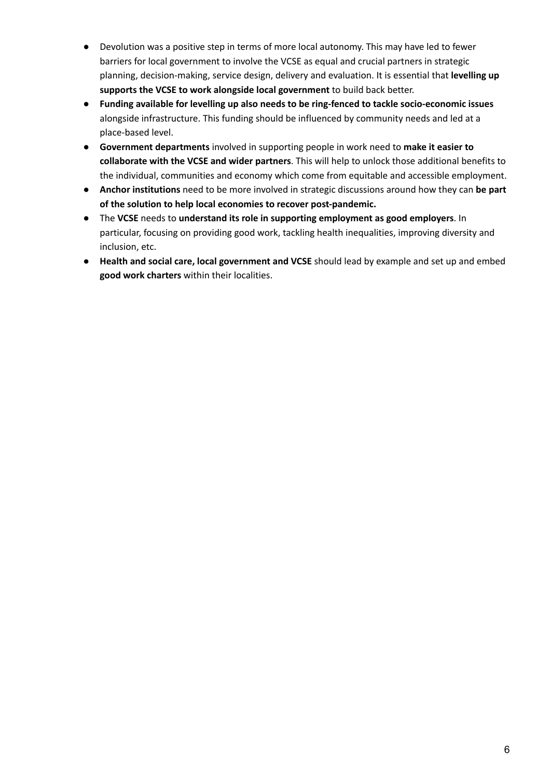- Devolution was a positive step in terms of more local autonomy. This may have led to fewer barriers for local government to involve the VCSE as equal and crucial partners in strategic planning, decision-making, service design, delivery and evaluation. It is essential that **levelling up supports the VCSE to work alongside local government** to build back better.
- **Funding available for levelling up also needs to be ring-fenced to tackle socio-economic issues** alongside infrastructure. This funding should be influenced by community needs and led at a place-based level.
- **Government departments** involved in supporting people in work need to **make it easier to collaborate with the VCSE and wider partners**. This will help to unlock those additional benefits to the individual, communities and economy which come from equitable and accessible employment.
- **Anchor institutions** need to be more involved in strategic discussions around how they can **be part of the solution to help local economies to recover post-pandemic.**
- The **VCSE** needs to **understand its role in supporting employment as good employers**. In particular, focusing on providing good work, tackling health inequalities, improving diversity and inclusion, etc.
- **Health and social care, local government and VCSE** should lead by example and set up and embed **good work charters** within their localities.